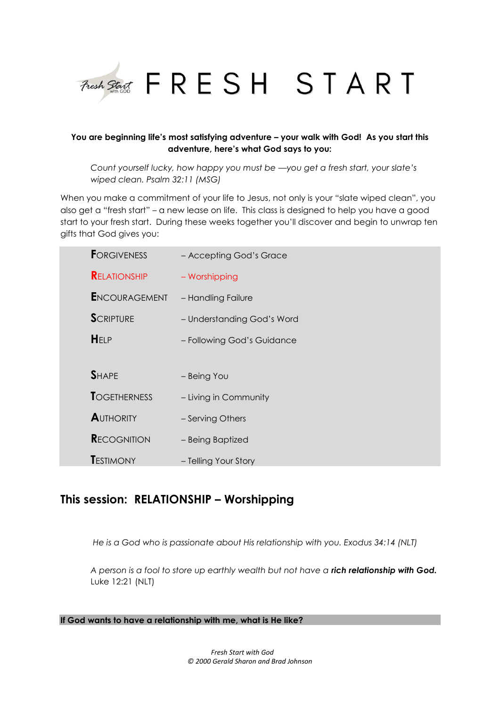

# **You are beginning life's most satisfying adventure – your walk with God! As you start this adventure, here's what God says to you:**

*Count yourself lucky, how happy you must be —you get a fresh start, your slate's wiped clean. Psalm 32:11 (MSG)*

When you make a commitment of your life to Jesus, not only is your "slate wiped clean", you also get a "fresh start" – a new lease on life. This class is designed to help you have a good start to your fresh start. During these weeks together you'll discover and begin to unwrap ten gifts that God gives you:

| <b>FORGIVENESS</b>   | - Accepting God's Grace    |
|----------------------|----------------------------|
| <b>RELATIONSHIP</b>  | - Worshipping              |
| <b>ENCOURAGEMENT</b> | - Handling Failure         |
| <b>SCRIPTURE</b>     | - Understanding God's Word |
| HELP                 | - Following God's Guidance |
|                      |                            |
| <b>SHAPE</b>         | - Being You                |
| <b>TOGETHERNESS</b>  | - Living in Community      |
| <b>AUTHORITY</b>     | - Serving Others           |
| <b>RECOGNITION</b>   | - Being Baptized           |
| <b>T</b> estimony    | - Telling Your Story       |

# **This session: RELATIONSHIP – Worshipping**

*He is a God who is passionate about His relationship with you. Exodus 34:14 (NLT)*

*A person is a fool to store up earthly wealth but not have a rich relationship with God.* Luke 12:21 (NLT)

**If God wants to have a relationship with me, what is He like?**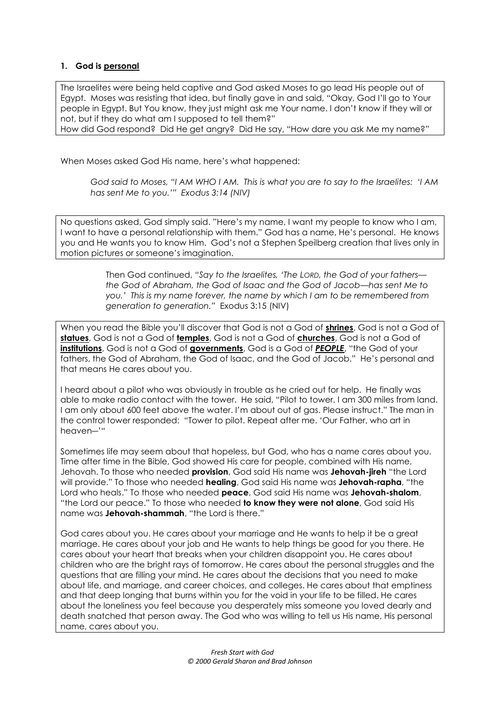# **1. God is personal**

The Israelites were being held captive and God asked Moses to go lead His people out of Egypt. Moses was resisting that idea, but finally gave in and said, "Okay, God I'll go to Your people in Egypt. But You know, they just might ask me Your name. I don't know if they will or not, but if they do what am I supposed to tell them?"

How did God respond? Did He get angry? Did He say, "How dare you ask Me my name?"

When Moses asked God His name, here's what happened:

*God said to Moses, "I AM WHO I AM. This is what you are to say to the Israelites: 'I AM has sent Me to you.'" Exodus 3:14 (NIV)*

No questions asked, God simply said. "Here's my name, I want my people to know who I am, I want to have a personal relationship with them." God has a name, He's personal. He knows you and He wants you to know Him. God's not a Stephen Speilberg creation that lives only in motion pictures or someone's imagination.

> Then God continued, *"Say to the Israelites, 'The LORD, the God of your fathers the God of Abraham, the God of Isaac and the God of Jacob—has sent Me to you.' This is my name forever, the name by which I am to be remembered from generation to generation."* Exodus 3:15 (NIV)

When you read the Bible you'll discover that God is not a God of **shrines**, God is not a God of **statues**, God is not a God of **temples**, God is not a God of **churches**, God is not a God of **institutions**, God is not a God of **governments**, God is a God of *PEOPLE*, "the God of your fathers, the God of Abraham, the God of Isaac, and the God of Jacob." He's personal and that means He cares about you.

I heard about a pilot who was obviously in trouble as he cried out for help. He finally was able to make radio contact with the tower. He said, "Pilot to tower. I am 300 miles from land. I am only about 600 feet above the water. I'm about out of gas. Please instruct." The man in the control tower responded: "Tower to pilot. Repeat after me. 'Our Father, who art in heaven―'"

Sometimes life may seem about that hopeless, but God, who has a name cares about you. Time after time in the Bible, God showed His care for people, combined with His name, Jehovah. To those who needed **provision**, God said His name was **Jehovah-jireh** "the Lord will provide." To those who needed **healing**, God said His name was **Jehovah-rapha**, "the Lord who heals." To those who needed **peace**, God said His name was **Jehovah-shalom**, "the Lord our peace." To those who needed **to know they were not alone**, God said His name was **Jehovah-shammah**, "the Lord is there."

God cares about you. He cares about your marriage and He wants to help it be a great marriage. He cares about your job and He wants to help things be good for you there. He cares about your heart that breaks when your children disappoint you. He cares about children who are the bright rays of tomorrow. He cares about the personal struggles and the questions that are filling your mind. He cares about the decisions that you need to make about life, and marriage, and career choices, and colleges. He cares about that emptiness and that deep longing that burns within you for the void in your life to be filled. He cares about the loneliness you feel because you desperately miss someone you loved dearly and death snatched that person away. The God who was willing to tell us His name, His personal name, cares about you.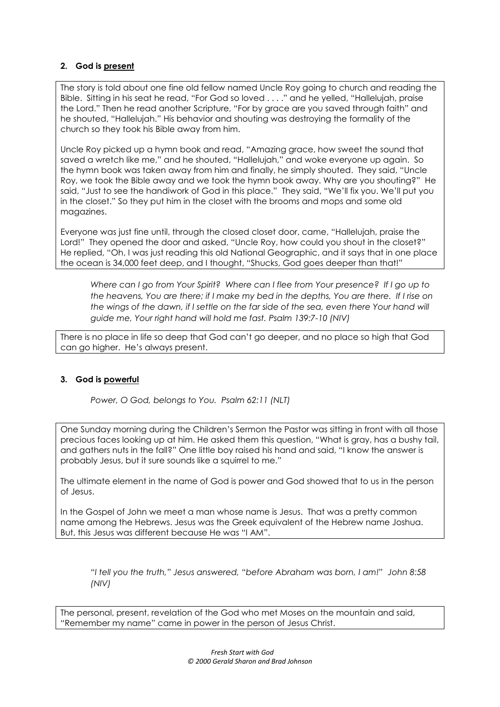# **2. God is present**

The story is told about one fine old fellow named Uncle Roy going to church and reading the Bible. Sitting in his seat he read, "For God so loved . . . ." and he yelled, "Hallelujah, praise the Lord." Then he read another Scripture, "For by grace are you saved through faith" and he shouted, "Hallelujah." His behavior and shouting was destroying the formality of the church so they took his Bible away from him.

Uncle Roy picked up a hymn book and read, "Amazing grace, how sweet the sound that saved a wretch like me," and he shouted, "Hallelujah," and woke everyone up again. So the hymn book was taken away from him and finally, he simply shouted. They said, "Uncle Roy, we took the Bible away and we took the hymn book away. Why are you shouting?" He said, "Just to see the handiwork of God in this place." They said, "We'll fix you. We'll put you in the closet." So they put him in the closet with the brooms and mops and some old magazines.

Everyone was just fine until, through the closed closet door, came, "Hallelujah, praise the Lord!" They opened the door and asked, "Uncle Roy, how could you shout in the closet?" He replied, "Oh, I was just reading this old National Geographic, and it says that in one place the ocean is 34,000 feet deep, and I thought, "Shucks, God goes deeper than that!"

*Where can I go from Your Spirit? Where can I flee from Your presence? If I go up to the heavens, You are there; if I make my bed in the depths, You are there. If I rise on the wings of the dawn, if I settle on the far side of the sea, even there Your hand will guide me, Your right hand will hold me fast. Psalm 139:7-10 (NIV)*

There is no place in life so deep that God can't go deeper, and no place so high that God can go higher. He's always present.

# **3. God is powerful**

*Power, O God, belongs to You. Psalm 62:11 (NLT)*

One Sunday morning during the Children's Sermon the Pastor was sitting in front with all those precious faces looking up at him. He asked them this question, "What is gray, has a bushy tail, and gathers nuts in the fall?" One little boy raised his hand and said, "I know the answer is probably Jesus, but it sure sounds like a squirrel to me."

The ultimate element in the name of God is power and God showed that to us in the person of Jesus.

In the Gospel of John we meet a man whose name is Jesus. That was a pretty common name among the Hebrews. Jesus was the Greek equivalent of the Hebrew name Joshua. But, this Jesus was different because He was "I AM".

*"I tell you the truth," Jesus answered, "before Abraham was born, I am!" John 8:58 (NIV)*

The personal, present, revelation of the God who met Moses on the mountain and said, "Remember my name" came in power in the person of Jesus Christ.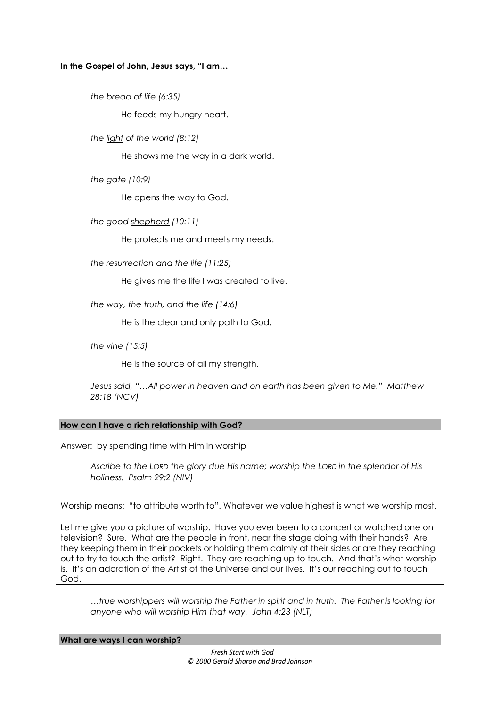# **In the Gospel of John, Jesus says, "I am…**

*the bread of life (6:35)*

He feeds my hungry heart.

*the light of the world (8:12)*

He shows me the way in a dark world.

*the gate (10:9)*

He opens the way to God.

*the good shepherd (10:11)*

He protects me and meets my needs.

*the resurrection and the life (11:25)*

He gives me the life I was created to live.

*the way, the truth, and the life (14:6)*

He is the clear and only path to God.

*the vine (15:5)*

He is the source of all my strength.

*Jesus said, "…All power in heaven and on earth has been given to Me." Matthew 28:18 (NCV)*

# **How can I have a rich relationship with God?**

Answer: by spending time with Him in worship

*Ascribe to the LORD the glory due His name; worship the LORD in the splendor of His holiness. Psalm 29:2 (NIV)*

Worship means: "to attribute worth to". Whatever we value highest is what we worship most.

Let me give you a picture of worship. Have you ever been to a concert or watched one on television? Sure. What are the people in front, near the stage doing with their hands? Are they keeping them in their pockets or holding them calmly at their sides or are they reaching out to try to touch the artist? Right. They are reaching up to touch. And that's what worship is. It's an adoration of the Artist of the Universe and our lives. It's our reaching out to touch God.

*…true worshippers will worship the Father in spirit and in truth. The Father is looking for anyone who will worship Him that way. John 4:23 (NLT)*

**What are ways I can worship?**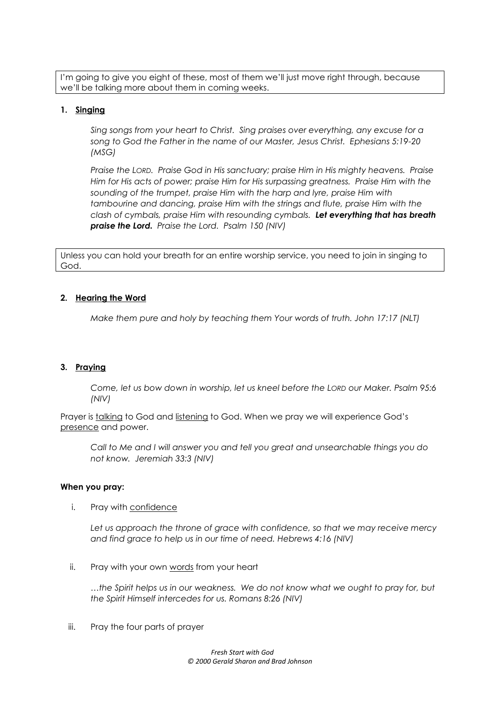I'm going to give you eight of these, most of them we'll just move right through, because we'll be talking more about them in coming weeks.

# **1. Singing**

*Sing songs from your heart to Christ. Sing praises over everything, any excuse for a song to God the Father in the name of our Master, Jesus Christ. Ephesians 5:19-20 (MSG)*

*Praise the LORD. Praise God in His sanctuary; praise Him in His mighty heavens. Praise Him for His acts of power; praise Him for His surpassing greatness. Praise Him with the sounding of the trumpet, praise Him with the harp and lyre, praise Him with tambourine and dancing, praise Him with the strings and flute, praise Him with the clash of cymbals, praise Him with resounding cymbals. Let everything that has breath praise the Lord. Praise the Lord. Psalm 150 (NIV)*

Unless you can hold your breath for an entire worship service, you need to join in singing to God.

# **2. Hearing the Word**

*Make them pure and holy by teaching them Your words of truth. John 17:17 (NLT)*

# **3. Praying**

*Come, let us bow down in worship, let us kneel before the LORD our Maker. Psalm 95:6 (NIV)*

Prayer is talking to God and listening to God. When we pray we will experience God's presence and power.

*Call to Me and I will answer you and tell you great and unsearchable things you do not know. Jeremiah 33:3 (NIV)*

# **When you pray:**

i. Pray with confidence

Let us approach the throne of grace with confidence, so that we may receive mercy *and find grace to help us in our time of need. Hebrews 4:16 (NIV)*

ii. Pray with your own words from your heart

*…the Spirit helps us in our weakness. We do not know what we ought to pray for, but the Spirit Himself intercedes for us. Romans 8:26 (NIV)*

iii. Pray the four parts of prayer

*Fresh Start with God © 2000 Gerald Sharon and Brad Johnson*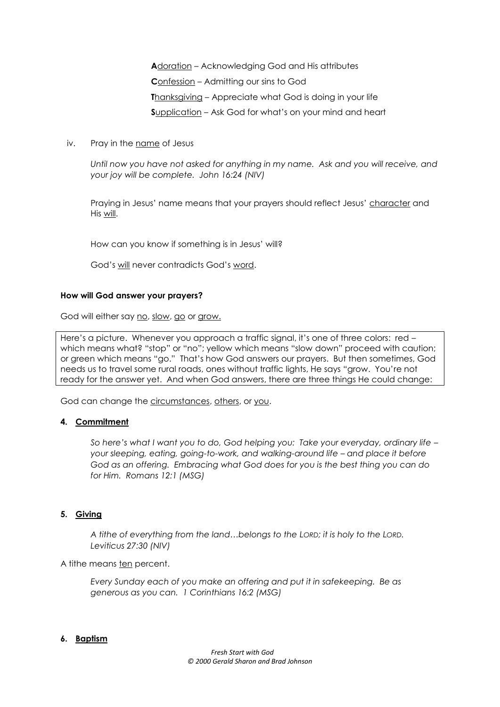**A**doration – Acknowledging God and His attributes **C**onfession – Admitting our sins to God **T**hanksgiving – Appreciate what God is doing in your life **S**upplication – Ask God for what's on your mind and heart

iv. Pray in the name of Jesus

Until now you have not asked for anything in my name. Ask and you will receive, and *your joy will be complete. John 16:24 (NIV)*

Praying in Jesus' name means that your prayers should reflect Jesus' character and His will.

How can you know if something is in Jesus' will?

God's will never contradicts God's word.

#### **How will God answer your prayers?**

God will either say no, slow, go or grow.

Here's a picture. Whenever you approach a traffic signal, it's one of three colors: red – which means what? "stop" or "no"; yellow which means "slow down" proceed with caution; or green which means "go." That's how God answers our prayers. But then sometimes, God needs us to travel some rural roads, ones without traffic lights, He says "grow. You're not ready for the answer yet. And when God answers, there are three things He could change:

God can change the circumstances, others, or you.

# **4. Commitment**

*So here's what I want you to do, God helping you: Take your everyday, ordinary life – your sleeping, eating, going-to-work, and walking-around life – and place it before God as an offering. Embracing what God does for you is the best thing you can do for Him. Romans 12:1 (MSG)*

# **5. Giving**

*A tithe of everything from the land…belongs to the LORD; it is holy to the LORD. Leviticus 27:30 (NIV)*

A tithe means ten percent.

*Every Sunday each of you make an offering and put it in safekeeping. Be as generous as you can. 1 Corinthians 16:2 (MSG)*

# **6. Baptism**